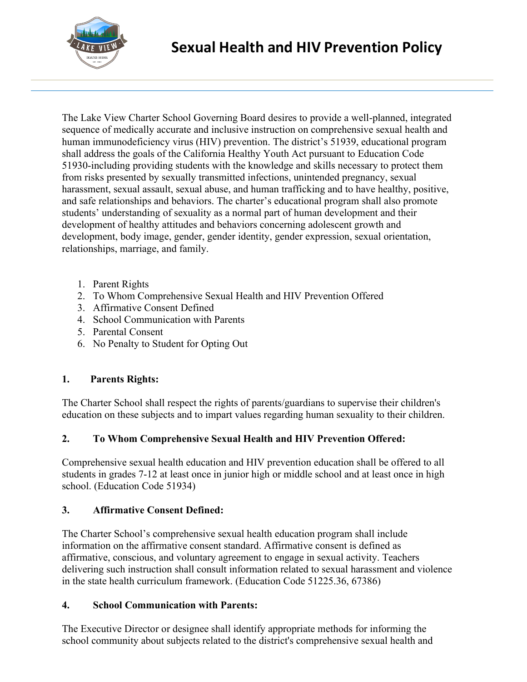

The Lake View Charter School Governing Board desires to provide a well-planned, integrated sequence of medically accurate and inclusive instruction on comprehensive sexual health and human immunodeficiency virus (HIV) prevention. The district's 51939, educational program shall address the goals of the California Healthy Youth Act pursuant to Education Code 51930-including providing students with the knowledge and skills necessary to protect them from risks presented by sexually transmitted infections, unintended pregnancy, sexual harassment, sexual assault, sexual abuse, and human trafficking and to have healthy, positive, and safe relationships and behaviors. The charter's educational program shall also promote students' understanding of sexuality as a normal part of human development and their development of healthy attitudes and behaviors concerning adolescent growth and development, body image, gender, gender identity, gender expression, sexual orientation, relationships, marriage, and family.

- 1. Parent Rights
- 2. To Whom Comprehensive Sexual Health and HIV Prevention Offered
- 3. Affirmative Consent Defined
- 4. School Communication with Parents
- 5. Parental Consent
- 6. No Penalty to Student for Opting Out

#### **1. Parents Rights:**

The Charter School shall respect the rights of parents/guardians to supervise their children's education on these subjects and to impart values regarding human sexuality to their children.

# **2. To Whom Comprehensive Sexual Health and HIV Prevention Offered:**

Comprehensive sexual health education and HIV prevention education shall be offered to all students in grades 7-12 at least once in junior high or middle school and at least once in high school. (Education Code 51934)

#### **3. Affirmative Consent Defined:**

The Charter School's comprehensive sexual health education program shall include information on the affirmative consent standard. Affirmative consent is defined as affirmative, conscious, and voluntary agreement to engage in sexual activity. Teachers delivering such instruction shall consult information related to sexual harassment and violence in the state health curriculum framework. (Education Code 51225.36, 67386)

#### **4. School Communication with Parents:**

The Executive Director or designee shall identify appropriate methods for informing the school community about subjects related to the district's comprehensive sexual health and